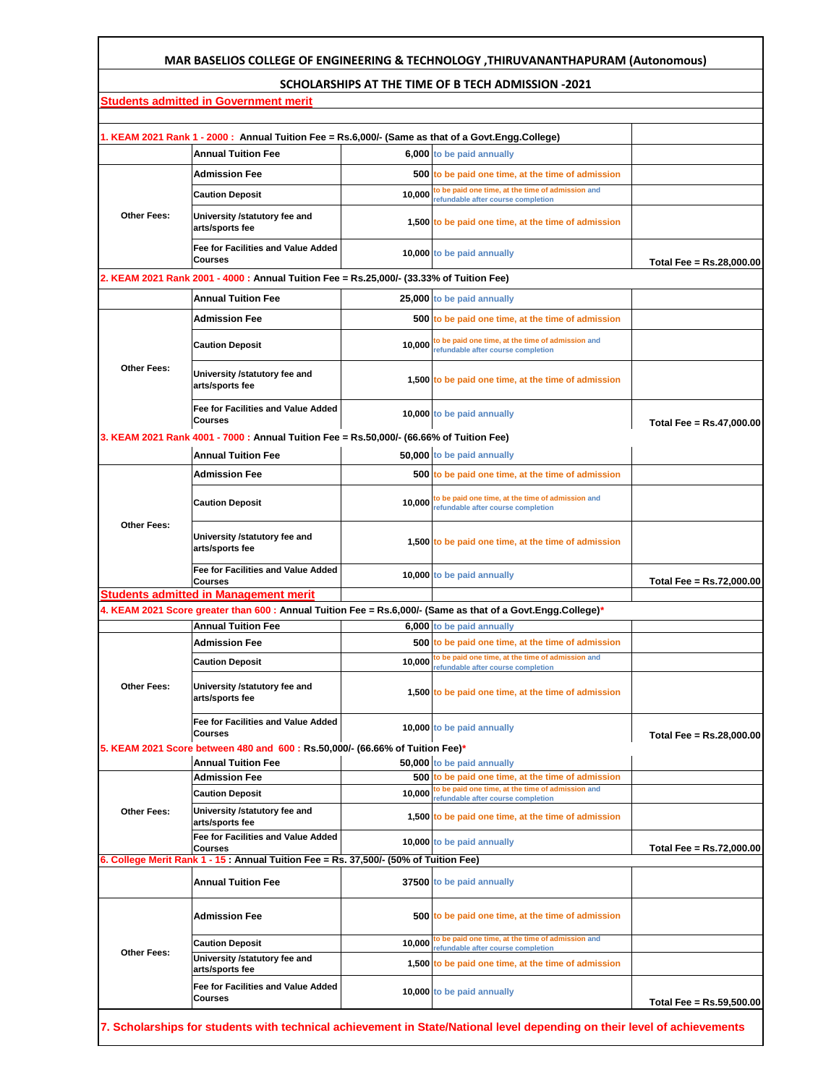## **MAR BASELIOS COLLEGE OF ENGINEERING & TECHNOLOGY ,THIRUVANANTHAPURAM (Autonomous)**

## **SCHOLARSHIPS AT THE TIME OF B TECH ADMISSION -2021**

|                                                                                                              | Students admitted in Government merit                                                                  |        |                                                                                                                          |                          |  |
|--------------------------------------------------------------------------------------------------------------|--------------------------------------------------------------------------------------------------------|--------|--------------------------------------------------------------------------------------------------------------------------|--------------------------|--|
|                                                                                                              |                                                                                                        |        |                                                                                                                          |                          |  |
|                                                                                                              | 1. KEAM 2021 Rank 1 - 2000: Annual Tuition Fee = Rs.6,000/- (Same as that of a Govt.Engg.College)      |        |                                                                                                                          |                          |  |
|                                                                                                              | <b>Annual Tuition Fee</b>                                                                              |        | 6,000 to be paid annually                                                                                                |                          |  |
| Other Fees:                                                                                                  | <b>Admission Fee</b>                                                                                   |        | 500 to be paid one time, at the time of admission                                                                        |                          |  |
|                                                                                                              | <b>Caution Deposit</b>                                                                                 | 10.000 | to be paid one time, at the time of admission and<br>refundable after course completion                                  |                          |  |
|                                                                                                              | University /statutory fee and<br>arts/sports fee                                                       |        | 1,500 to be paid one time, at the time of admission                                                                      |                          |  |
|                                                                                                              | <b>Fee for Facilities and Value Added</b><br><b>Courses</b>                                            |        | 10,000 to be paid annually                                                                                               | Total Fee = Rs.28,000.00 |  |
|                                                                                                              | 2. KEAM 2021 Rank 2001 - 4000 : Annual Tuition Fee = Rs.25,000/- (33.33% of Tuition Fee)               |        |                                                                                                                          |                          |  |
|                                                                                                              | <b>Annual Tuition Fee</b>                                                                              |        | 25,000 to be paid annually                                                                                               |                          |  |
| <b>Other Fees:</b>                                                                                           | <b>Admission Fee</b>                                                                                   |        | 500 to be paid one time, at the time of admission                                                                        |                          |  |
|                                                                                                              | <b>Caution Deposit</b>                                                                                 |        | 10,000 to be paid one time, at the time of admission and<br>refundable after course completion                           |                          |  |
|                                                                                                              | University /statutory fee and<br>arts/sports fee                                                       |        | 1,500 to be paid one time, at the time of admission                                                                      |                          |  |
|                                                                                                              | Fee for Facilities and Value Added<br><b>Courses</b>                                                   |        | 10,000 to be paid annually                                                                                               | Total Fee = Rs.47,000.00 |  |
|                                                                                                              | 3. KEAM 2021 Rank 4001 - 7000 : Annual Tuition Fee = Rs.50,000/- (66.66% of Tuition Fee)               |        |                                                                                                                          |                          |  |
|                                                                                                              | <b>Annual Tuition Fee</b>                                                                              |        | 50,000 to be paid annually                                                                                               |                          |  |
|                                                                                                              | <b>Admission Fee</b>                                                                                   |        | 500 to be paid one time, at the time of admission                                                                        |                          |  |
| <b>Other Fees:</b>                                                                                           | <b>Caution Deposit</b>                                                                                 |        | 10,000 to be paid one time, at the time of admission and<br>refundable after course completion                           |                          |  |
|                                                                                                              | University /statutory fee and<br>arts/sports fee                                                       |        | 1,500 to be paid one time, at the time of admission                                                                      |                          |  |
|                                                                                                              | Fee for Facilities and Value Added<br><b>Courses</b>                                                   |        | 10,000 to be paid annually                                                                                               | Total Fee = Rs.72,000.00 |  |
|                                                                                                              | <b>Students admitted in Management merit</b>                                                           |        |                                                                                                                          |                          |  |
| 4. KEAM 2021 Score greater than 600 : Annual Tuition Fee = Rs.6,000/- (Same as that of a Govt.Engg.College)* |                                                                                                        |        |                                                                                                                          |                          |  |
|                                                                                                              | <b>Annual Tuition Fee</b>                                                                              |        | 6,000 to be paid annually                                                                                                |                          |  |
| <b>Other Fees:</b>                                                                                           | <b>Admission Fee</b>                                                                                   |        | 500 to be paid one time, at the time of admission                                                                        |                          |  |
|                                                                                                              | <b>Caution Deposit</b>                                                                                 |        | 10,000 to be paid one time, at the time of admission and<br>refundable after course completion                           |                          |  |
|                                                                                                              | University /statutory fee and<br>arts/sports fee                                                       |        | 1,500 to be paid one time, at the time of admission                                                                      |                          |  |
|                                                                                                              | <b>Fee for Facilities and Value Added</b><br><b>Courses</b>                                            |        | 10,000 to be paid annually                                                                                               | Total Fee = Rs.28,000.00 |  |
|                                                                                                              | 5. KEAM 2021 Score between 480 and 600 : Rs.50,000/- (66.66% of Tuition Fee)*                          |        |                                                                                                                          |                          |  |
| <b>Other Fees:</b>                                                                                           | <b>Annual Tuition Fee</b><br><b>Admission Fee</b>                                                      |        | 50,000 to be paid annually<br>500 to be paid one time, at the time of admission                                          |                          |  |
|                                                                                                              | <b>Caution Deposit</b>                                                                                 | 10,000 | to be paid one time, at the time of admission and                                                                        |                          |  |
|                                                                                                              | University /statutory fee and<br>arts/sports fee                                                       |        | refundable after course completion<br>1,500 to be paid one time, at the time of admission                                |                          |  |
|                                                                                                              | Fee for Facilities and Value Added                                                                     |        | 10,000 to be paid annually                                                                                               |                          |  |
|                                                                                                              | <b>Courses</b><br>6. College Merit Rank 1 - 15: Annual Tuition Fee = Rs. 37,500/- (50% of Tuition Fee) |        |                                                                                                                          | Total Fee = Rs.72,000.00 |  |
|                                                                                                              | <b>Annual Tuition Fee</b>                                                                              |        | 37500 to be paid annually                                                                                                |                          |  |
| <b>Other Fees:</b>                                                                                           | Admission Fee                                                                                          |        | 500 to be paid one time, at the time of admission                                                                        |                          |  |
|                                                                                                              | <b>Caution Deposit</b>                                                                                 | 10,000 | to be paid one time, at the time of admission and<br>refundable after course completion                                  |                          |  |
|                                                                                                              | University /statutory fee and<br>arts/sports fee                                                       |        | 1,500 to be paid one time, at the time of admission                                                                      |                          |  |
|                                                                                                              | Fee for Facilities and Value Added<br><b>Courses</b>                                                   |        | 10,000 to be paid annually                                                                                               | Total Fee = Rs.59,500.00 |  |
|                                                                                                              |                                                                                                        |        | 7. Scholarships for students with technical achievement in State/National level depending on their level of achievements |                          |  |